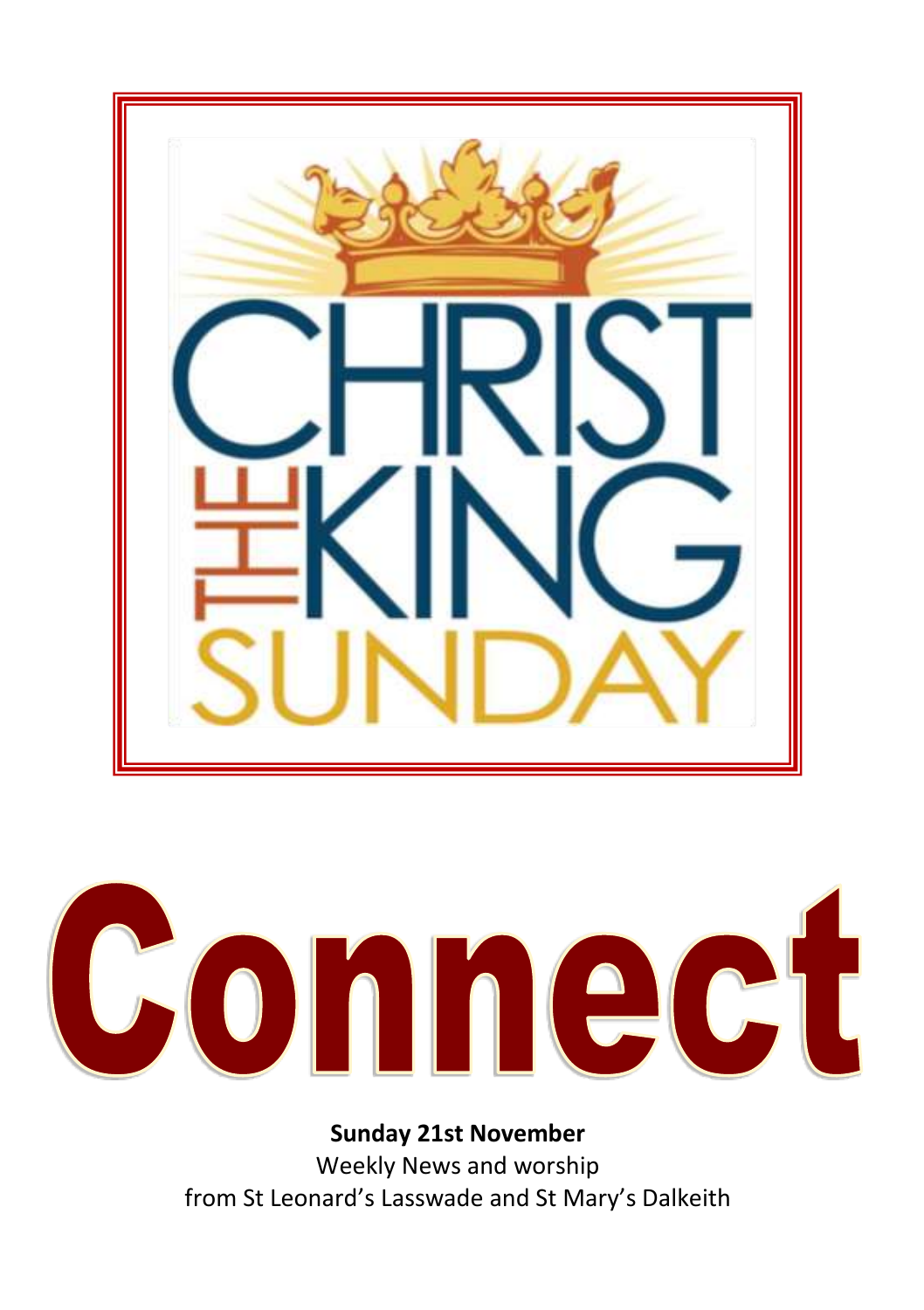



**Sunday 21st November**  Weekly News and worship from St Leonard's Lasswade and St Mary's Dalkeith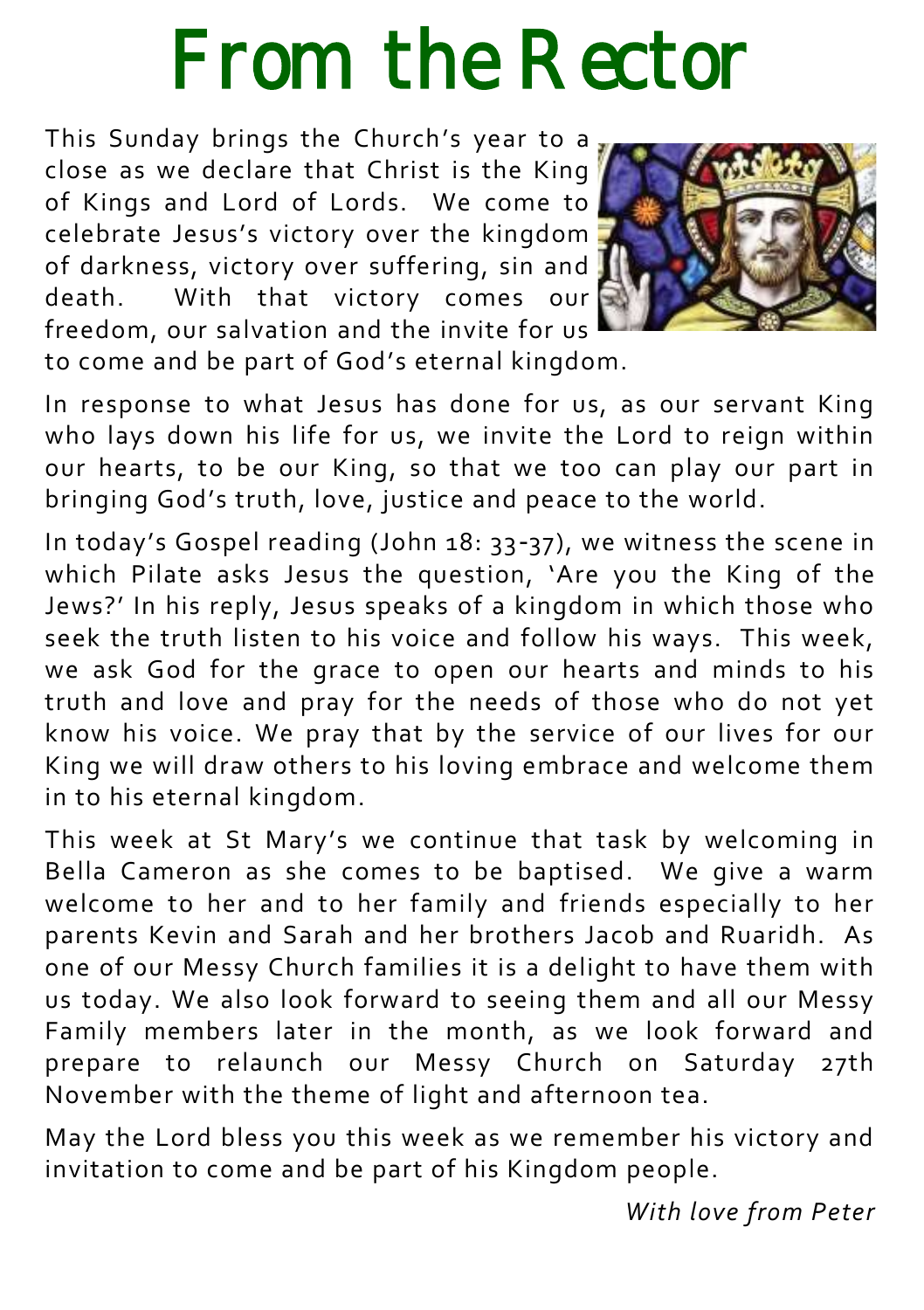# From the Rector

This Sunday brings the Church's year to a close as we declare that Christ is the King of Kings and Lord of Lords. We come to celebrate Jesus's victory over the kingdom of darkness, victory over suffering, sin and death. With that victory comes our freedom, our salvation and the invite for us



to come and be part of God's eternal kingdom.

In response to what Jesus has done for us, as our servant King who lays down his life for us, we invite the Lord to reign within our hearts, to be our King, so that we too can play our part in bringing God's truth, love, justice and peace to the world.

In today's Gospel reading (John 18: 33-37), we witness the scene in which Pilate asks Jesus the question, 'Are you the King of the Jews?' In his reply, Jesus speaks of a kingdom in which those who seek the truth listen to his voice and follow his ways. This week, we ask God for the grace to open our hearts and minds to his truth and love and pray for the needs of those who do not yet know his voice. We pray that by the service of our lives for our King we will draw others to his loving embrace and welcome them in to his eternal kingdom.

This week at St Mary's we continue that task by welcoming in Bella Cameron as she comes to be baptised. We give a warm welcome to her and to her family and friends especially to her parents Kevin and Sarah and her brothers Jacob and Ruaridh. As one of our Messy Church families it is a delight to have them with us today. We also look forward to seeing them and all our Messy Family members later in the month, as we look forward and prepare to relaunch our Messy Church on Saturday 27th November with the theme of light and afternoon tea.

May the Lord bless you this week as we remember his victory and invitation to come and be part of his Kingdom people.

*With love from Peter*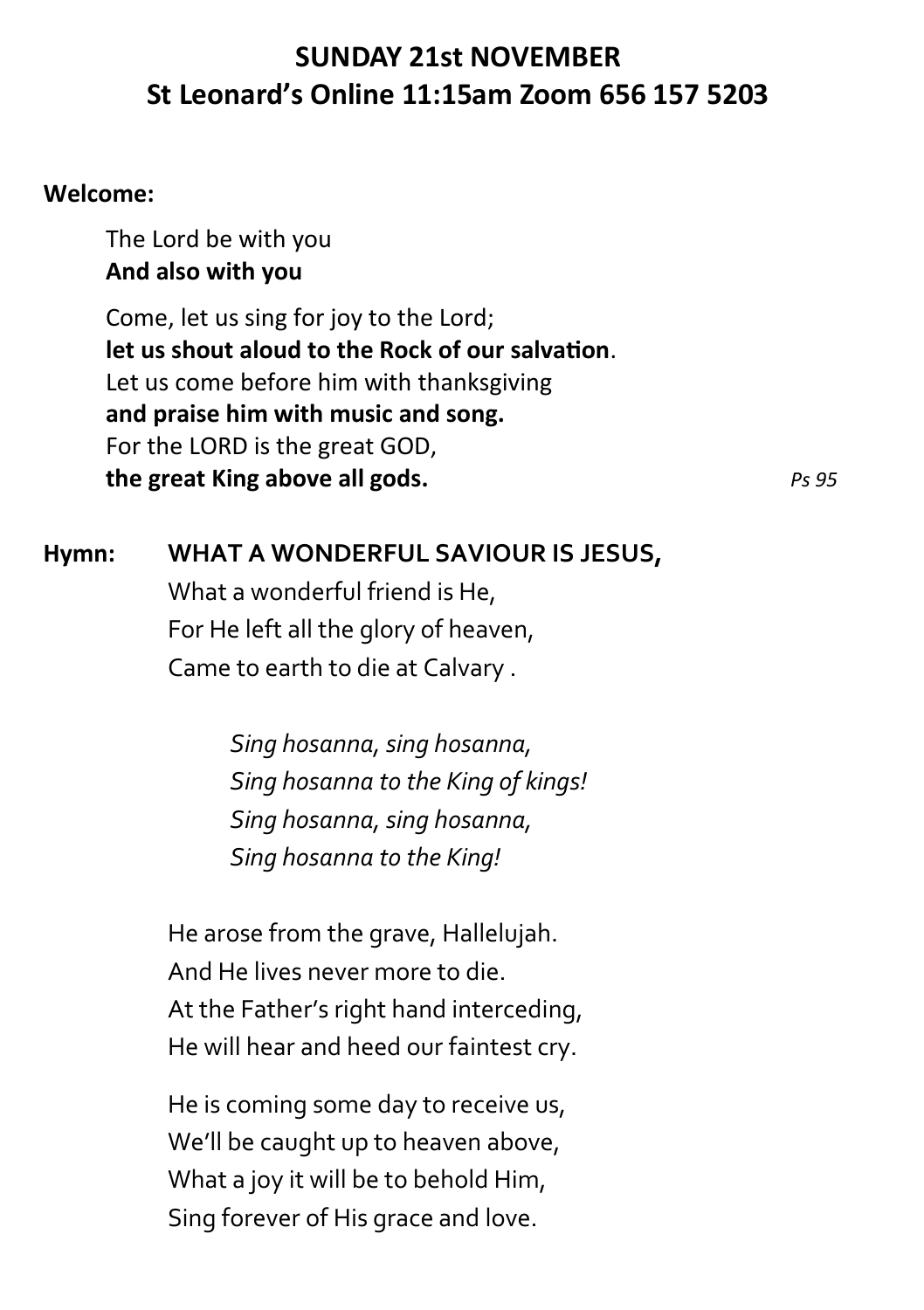#### **SUNDAY 21st NOVEMBER St Leonard's Online 11:15am Zoom 656 157 5203**

#### **Welcome:**

The Lord be with you **And also with you**

Come, let us sing for joy to the Lord; **let us shout aloud to the Rock of our salvation**. Let us come before him with thanksgiving **and praise him with music and song.** For the LORD is the great GOD, **the great King above all gods.** *Ps 95*

### **Hymn: WHAT A WONDERFUL SAVIOUR IS JESUS,**

What a wonderful friend is He, For He left all the glory of heaven, Came to earth to die at Calvary .

> *Sing hosanna, sing hosanna, Sing hosanna to the King of kings! Sing hosanna, sing hosanna, Sing hosanna to the King!*

He arose from the grave, Hallelujah. And He lives never more to die. At the Father's right hand interceding, He will hear and heed our faintest cry.

He is coming some day to receive us, We'll be caught up to heaven above, What a joy it will be to behold Him, Sing forever of His grace and love.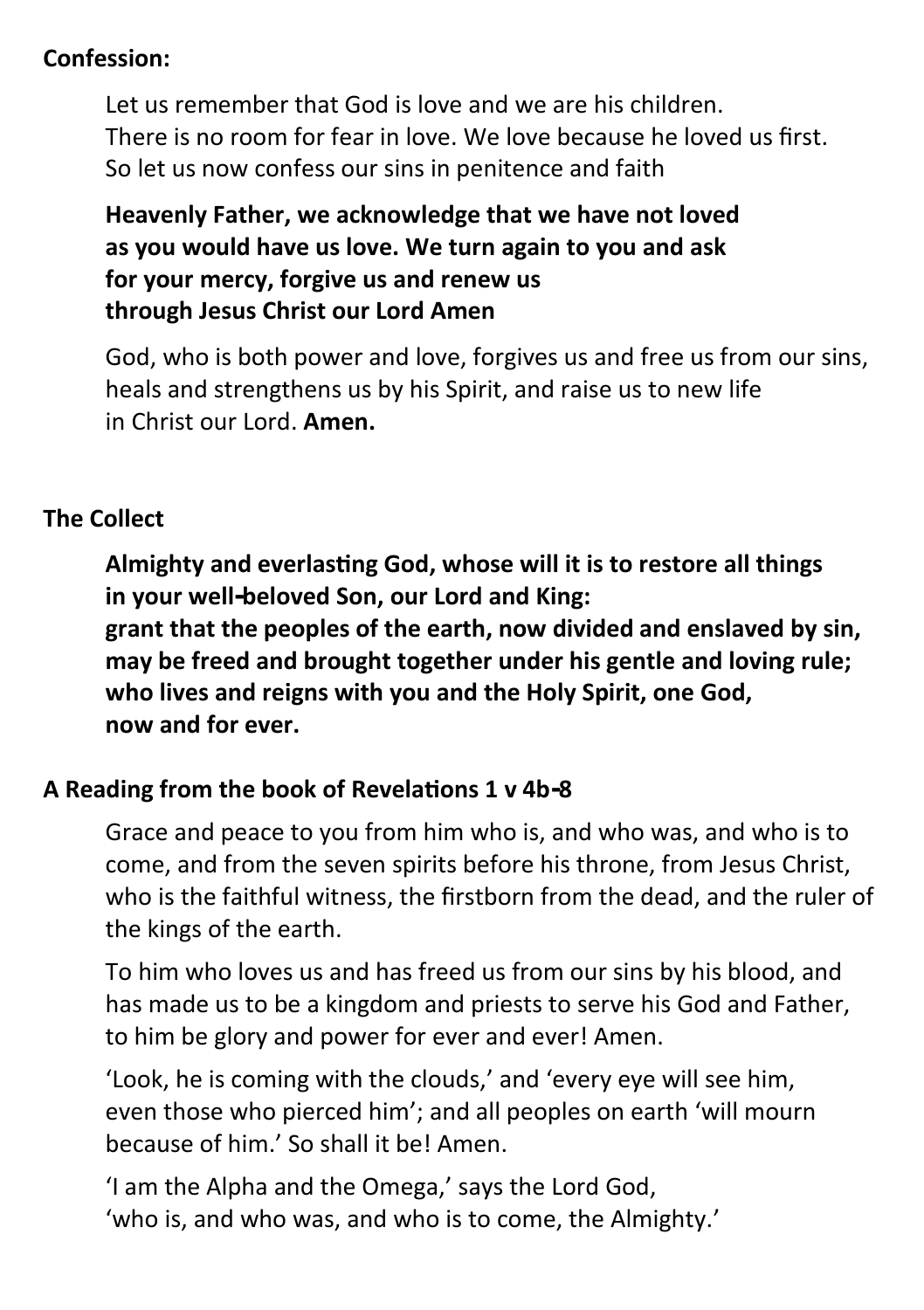#### **Confession:**

Let us remember that God is love and we are his children. There is no room for fear in love. We love because he loved us first. So let us now confess our sins in penitence and faith

#### **Heavenly Father, we acknowledge that we have not loved as you would have us love. We turn again to you and ask for your mercy, forgive us and renew us through Jesus Christ our Lord Amen**

God, who is both power and love, forgives us and free us from our sins, heals and strengthens us by his Spirit, and raise us to new life in Christ our Lord. **Amen.**

#### **The Collect**

**Almighty and everlasting God, whose will it is to restore all things in your well-beloved Son, our Lord and King: grant that the peoples of the earth, now divided and enslaved by sin, may be freed and brought together under his gentle and loving rule; who lives and reigns with you and the Holy Spirit, one God, now and for ever.**

#### **A Reading from the book of Revelations 1 v 4b-8**

Grace and peace to you from him who is, and who was, and who is to come, and from the seven spirits before his throne, from Jesus Christ, who is the faithful witness, the firstborn from the dead, and the ruler of the kings of the earth.

To him who loves us and has freed us from our sins by his blood, and has made us to be a kingdom and priests to serve his God and Father, to him be glory and power for ever and ever! Amen.

'Look, he is coming with the clouds,' and 'every eye will see him, even those who pierced him'; and all peoples on earth 'will mourn because of him.' So shall it be! Amen.

'I am the Alpha and the Omega,' says the Lord God, 'who is, and who was, and who is to come, the Almighty.'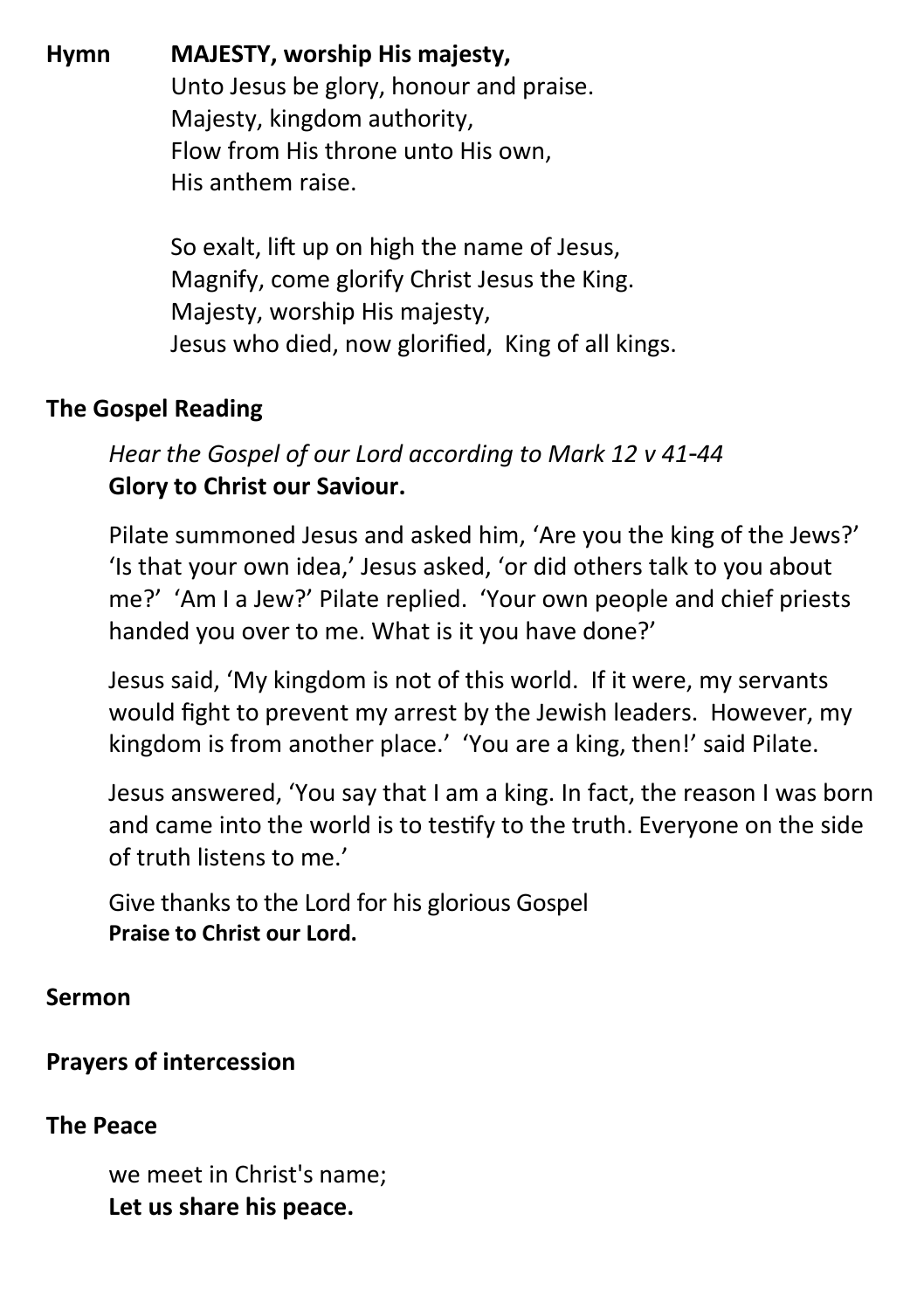**Hymn MAJESTY, worship His majesty,** Unto Jesus be glory, honour and praise. Majesty, kingdom authority, Flow from His throne unto His own, His anthem raise.

> So exalt, lift up on high the name of Jesus, Magnify, come glorify Christ Jesus the King. Majesty, worship His majesty, Jesus who died, now glorified, King of all kings.

#### **The Gospel Reading**

*Hear the Gospel of our Lord according to Mark 12 v 41-44* **Glory to Christ our Saviour.**

Pilate summoned Jesus and asked him, 'Are you the king of the Jews?' 'Is that your own idea,' Jesus asked, 'or did others talk to you about me?' 'Am I a Jew?' Pilate replied. 'Your own people and chief priests handed you over to me. What is it you have done?'

Jesus said, 'My kingdom is not of this world. If it were, my servants would fight to prevent my arrest by the Jewish leaders. However, my kingdom is from another place.' 'You are a king, then!' said Pilate.

Jesus answered, 'You say that I am a king. In fact, the reason I was born and came into the world is to testify to the truth. Everyone on the side of truth listens to me.'

Give thanks to the Lord for his glorious Gospel **Praise to Christ our Lord.**

#### **Sermon**

**Prayers of intercession** 

#### **The Peace**

we meet in Christ's name; **Let us share his peace.**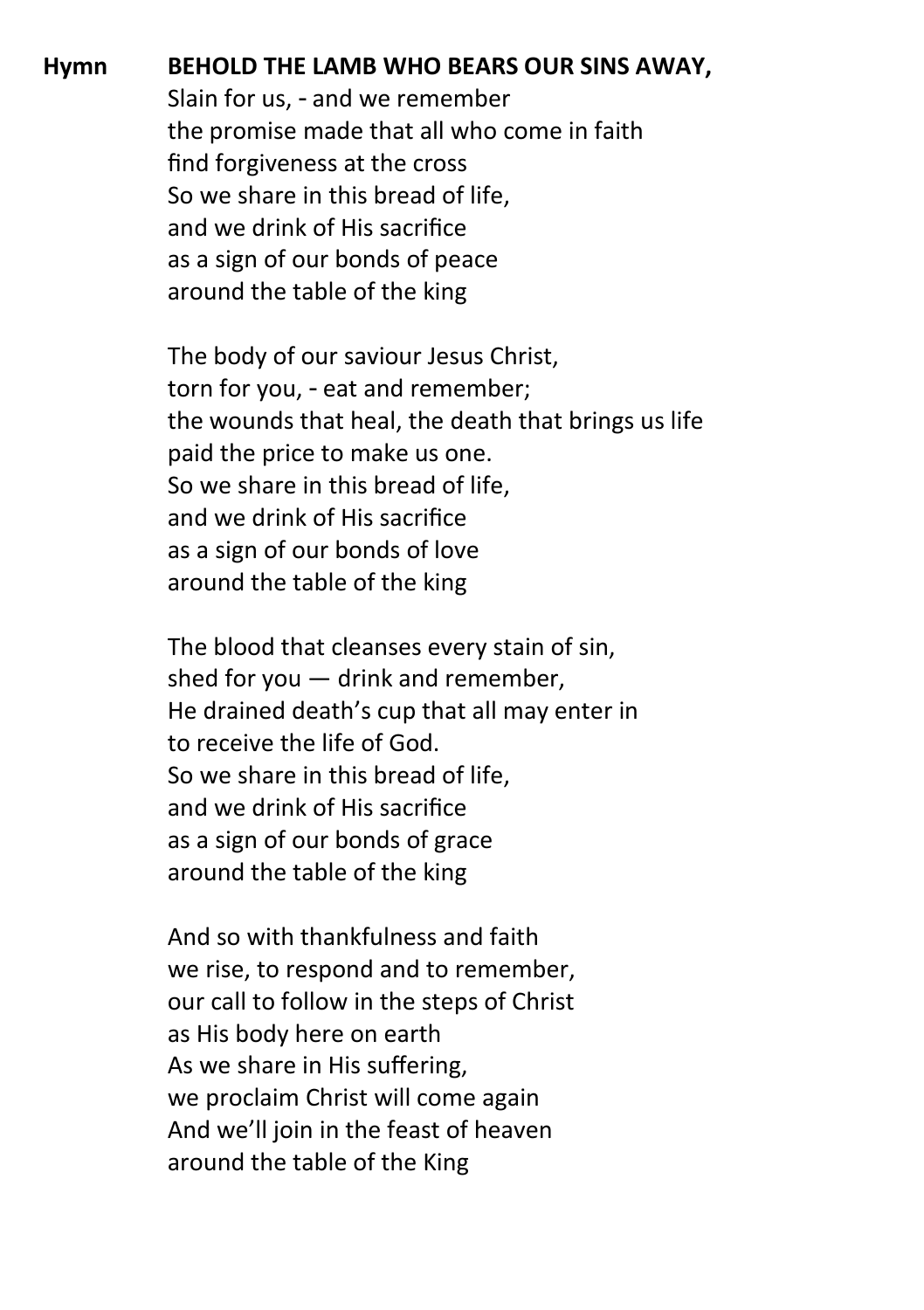#### **Hymn BEHOLD THE LAMB WHO BEARS OUR SINS AWAY,**

Slain for us, - and we remember the promise made that all who come in faith find forgiveness at the cross So we share in this bread of life, and we drink of His sacrifice as a sign of our bonds of peace around the table of the king

The body of our saviour Jesus Christ, torn for you, - eat and remember; the wounds that heal, the death that brings us life paid the price to make us one. So we share in this bread of life, and we drink of His sacrifice as a sign of our bonds of love around the table of the king

The blood that cleanses every stain of sin, shed for you — drink and remember, He drained death's cup that all may enter in to receive the life of God. So we share in this bread of life, and we drink of His sacrifice as a sign of our bonds of grace around the table of the king

And so with thankfulness and faith we rise, to respond and to remember, our call to follow in the steps of Christ as His body here on earth As we share in His suffering, we proclaim Christ will come again And we'll join in the feast of heaven around the table of the King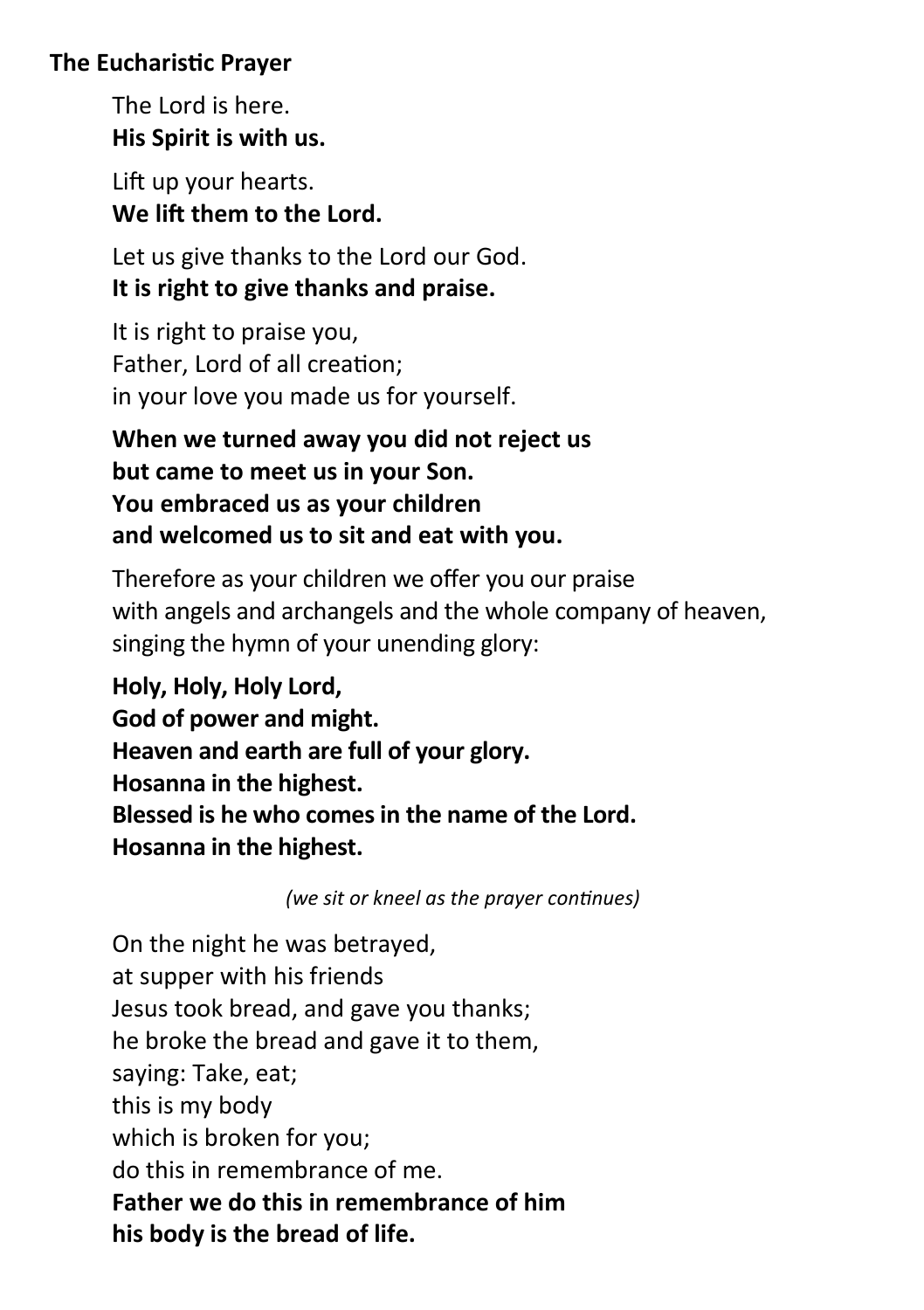#### **The Eucharistic Prayer**

The Lord is here. **His Spirit is with us.**

Lift up your hearts. **We lift them to the Lord.**

Let us give thanks to the Lord our God. **It is right to give thanks and praise.**

It is right to praise you, Father, Lord of all creation; in your love you made us for yourself.

**When we turned away you did not reject us but came to meet us in your Son. You embraced us as your children and welcomed us to sit and eat with you.**

Therefore as your children we offer you our praise with angels and archangels and the whole company of heaven, singing the hymn of your unending glory:

**Holy, Holy, Holy Lord, God of power and might. Heaven and earth are full of your glory. Hosanna in the highest. Blessed is he who comes in the name of the Lord. Hosanna in the highest.**

*(we sit or kneel as the prayer continues)*

On the night he was betrayed, at supper with his friends Jesus took bread, and gave you thanks; he broke the bread and gave it to them, saying: Take, eat; this is my body which is broken for you; do this in remembrance of me. **Father we do this in remembrance of him his body is the bread of life.**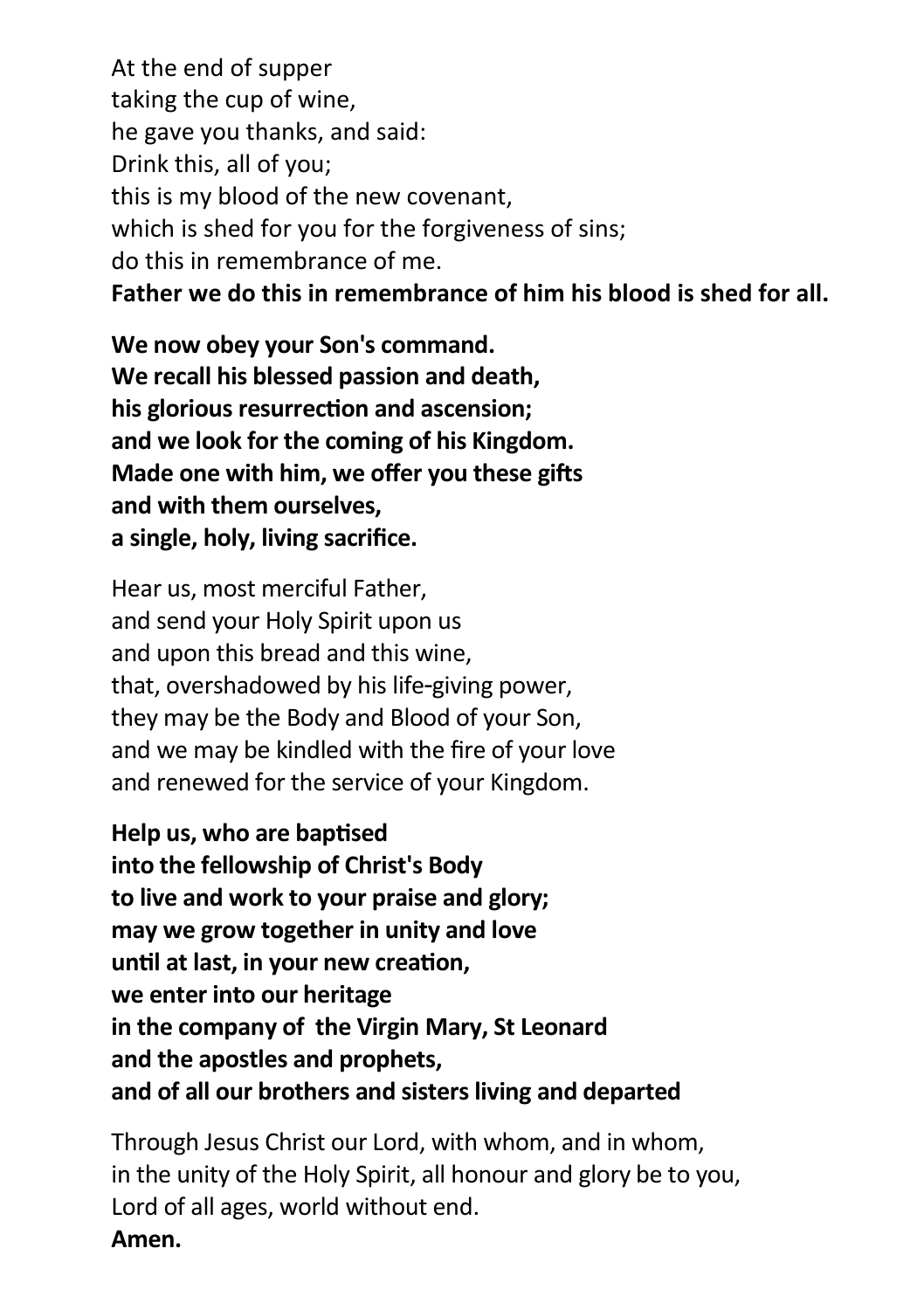At the end of supper taking the cup of wine, he gave you thanks, and said: Drink this, all of you; this is my blood of the new covenant, which is shed for you for the forgiveness of sins: do this in remembrance of me. **Father we do this in remembrance of him his blood is shed for all.**

**We now obey your Son's command. We recall his blessed passion and death, his glorious resurrection and ascension; and we look for the coming of his Kingdom. Made one with him, we offer you these gifts and with them ourselves, a single, holy, living sacrifice.**

Hear us, most merciful Father, and send your Holy Spirit upon us and upon this bread and this wine, that, overshadowed by his life-giving power, they may be the Body and Blood of your Son, and we may be kindled with the fire of your love and renewed for the service of your Kingdom.

**Help us, who are baptised into the fellowship of Christ's Body to live and work to your praise and glory; may we grow together in unity and love until at last, in your new creation, we enter into our heritage in the company of the Virgin Mary, St Leonard and the apostles and prophets, and of all our brothers and sisters living and departed**

Through Jesus Christ our Lord, with whom, and in whom, in the unity of the Holy Spirit, all honour and glory be to you, Lord of all ages, world without end. **Amen.**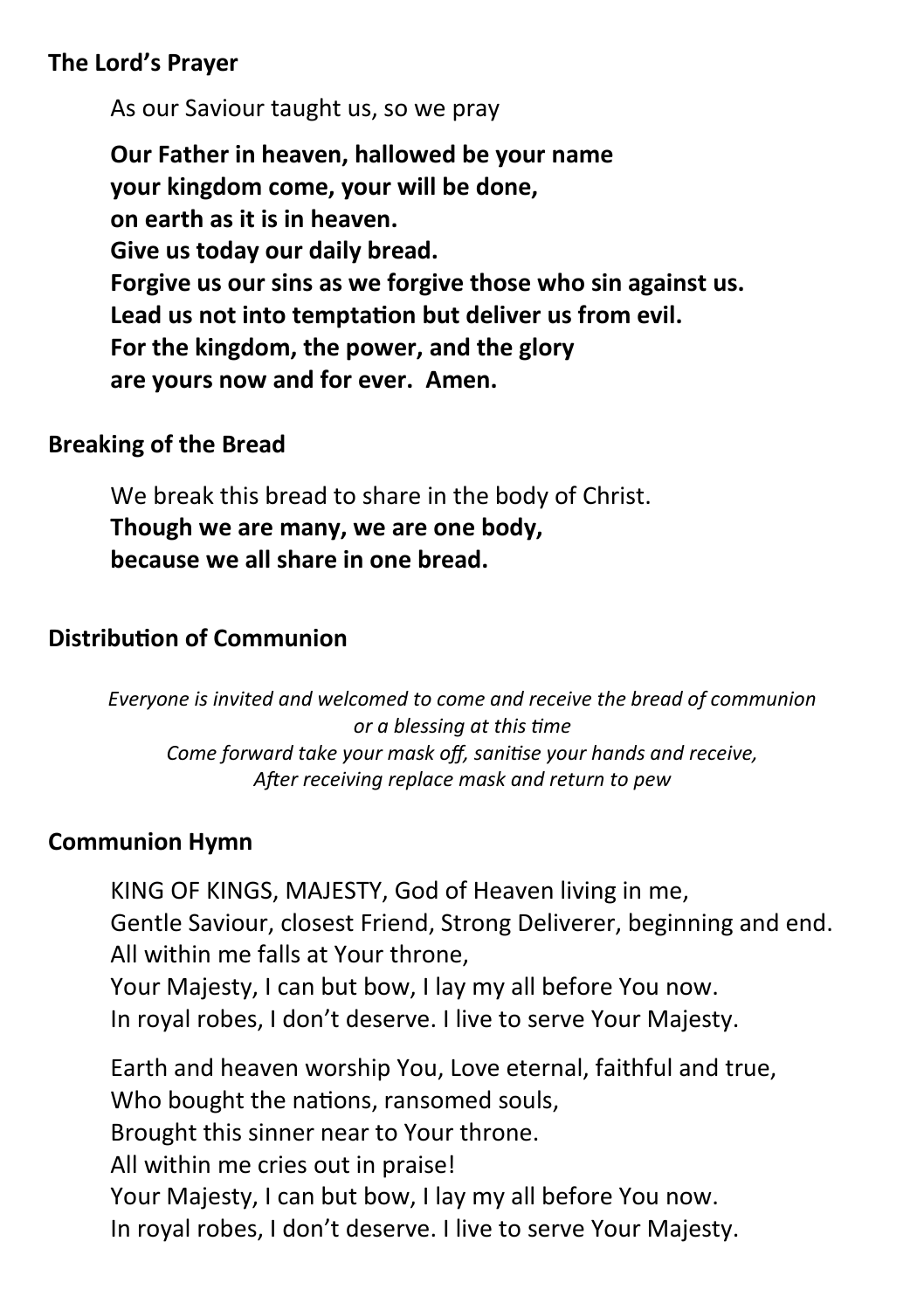#### **The Lord's Prayer**

As our Saviour taught us, so we pray

**Our Father in heaven, hallowed be your name your kingdom come, your will be done, on earth as it is in heaven. Give us today our daily bread. Forgive us our sins as we forgive those who sin against us. Lead us not into temptation but deliver us from evil. For the kingdom, the power, and the glory are yours now and for ever. Amen.**

#### **Breaking of the Bread**

We break this bread to share in the body of Christ. **Though we are many, we are one body, because we all share in one bread.**

#### **Distribution of Communion**

*Everyone is invited and welcomed to come and receive the bread of communion or a blessing at this time Come forward take your mask off, sanitise your hands and receive, After receiving replace mask and return to pew*

#### **Communion Hymn**

KING OF KINGS, MAJESTY, God of Heaven living in me, Gentle Saviour, closest Friend, Strong Deliverer, beginning and end. All within me falls at Your throne, Your Majesty, I can but bow, I lay my all before You now. In royal robes, I don't deserve. I live to serve Your Majesty. Earth and heaven worship You, Love eternal, faithful and true,

Who bought the nations, ransomed souls, Brought this sinner near to Your throne. All within me cries out in praise! Your Majesty, I can but bow, I lay my all before You now. In royal robes, I don't deserve. I live to serve Your Majesty.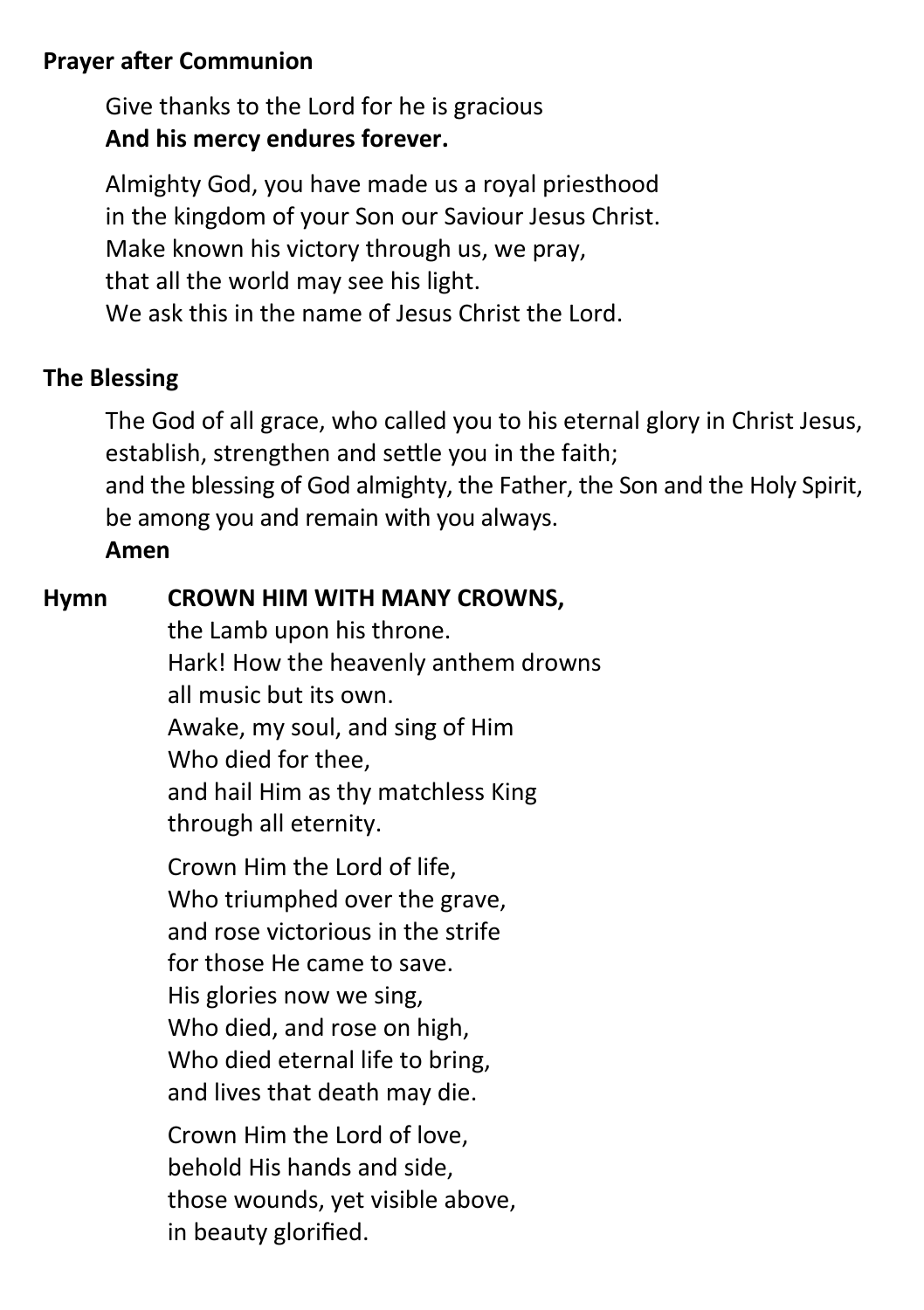#### **Prayer after Communion**

Give thanks to the Lord for he is gracious **And his mercy endures forever.**

Almighty God, you have made us a royal priesthood in the kingdom of your Son our Saviour Jesus Christ. Make known his victory through us, we pray, that all the world may see his light. We ask this in the name of Jesus Christ the Lord.

#### **The Blessing**

The God of all grace, who called you to his eternal glory in Christ Jesus, establish, strengthen and settle you in the faith; and the blessing of God almighty, the Father, the Son and the Holy Spirit, be among you and remain with you always.

#### **Amen**

**Hymn CROWN HIM WITH MANY CROWNS,** 

the Lamb upon his throne. Hark! How the heavenly anthem drowns all music but its own. Awake, my soul, and sing of Him Who died for thee, and hail Him as thy matchless King through all eternity.

Crown Him the Lord of life, Who triumphed over the grave, and rose victorious in the strife for those He came to save. His glories now we sing, Who died, and rose on high, Who died eternal life to bring, and lives that death may die.

Crown Him the Lord of love, behold His hands and side, those wounds, yet visible above, in beauty glorified.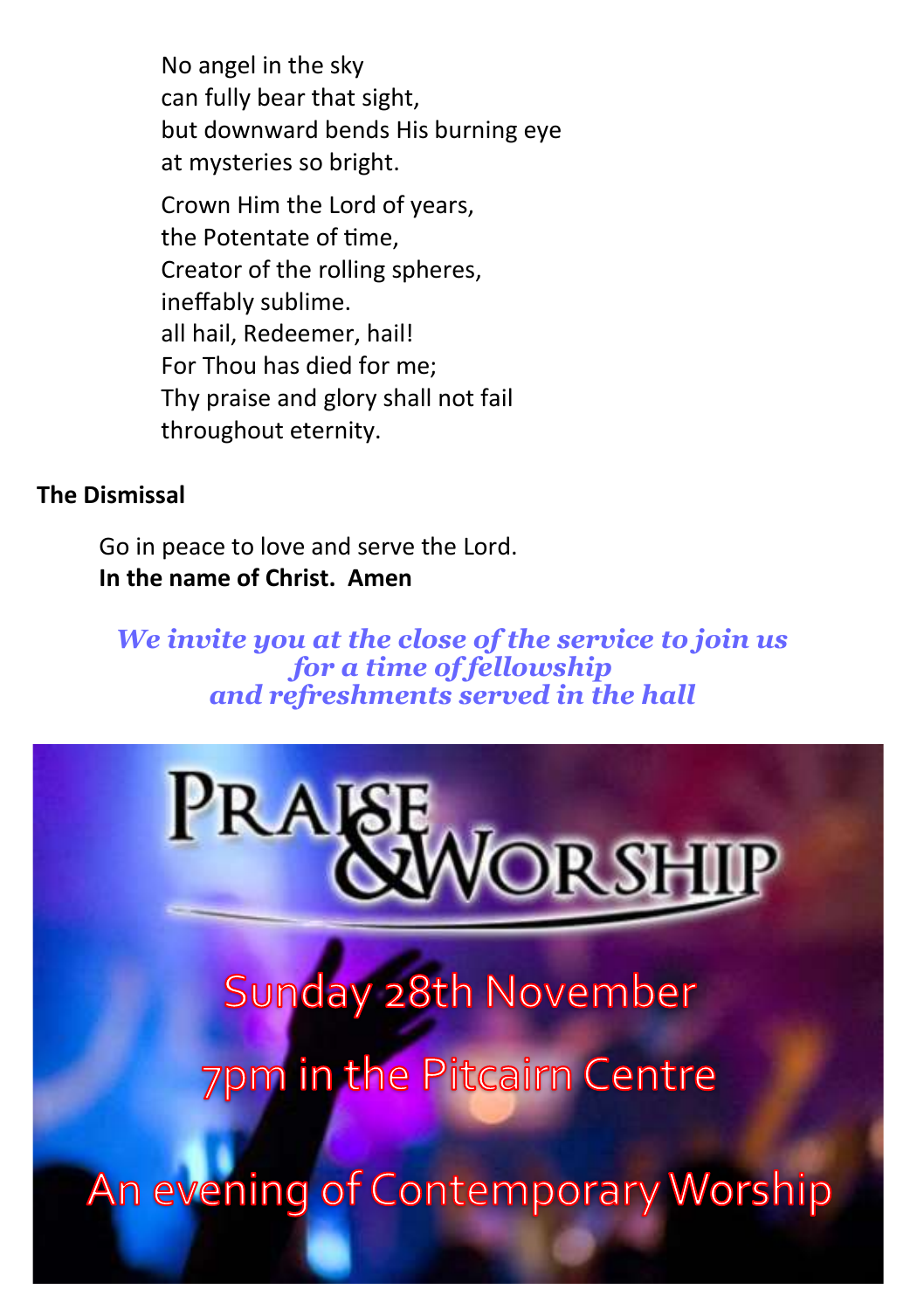No angel in the sky can fully bear that sight, but downward bends His burning eye at mysteries so bright.

Crown Him the Lord of years, the Potentate of time, Creator of the rolling spheres, ineffably sublime. all hail, Redeemer, hail! For Thou has died for me; Thy praise and glory shall not fail throughout eternity.

#### **The Dismissal**

Go in peace to love and serve the Lord. **In the name of Christ. Amen**

*We invite you at the close of the service to join us for a time of fellowship and refreshments served in the hall*



Sunday 28th November

7pm in the Pitcairn Centre

An evening of Contemporary Worship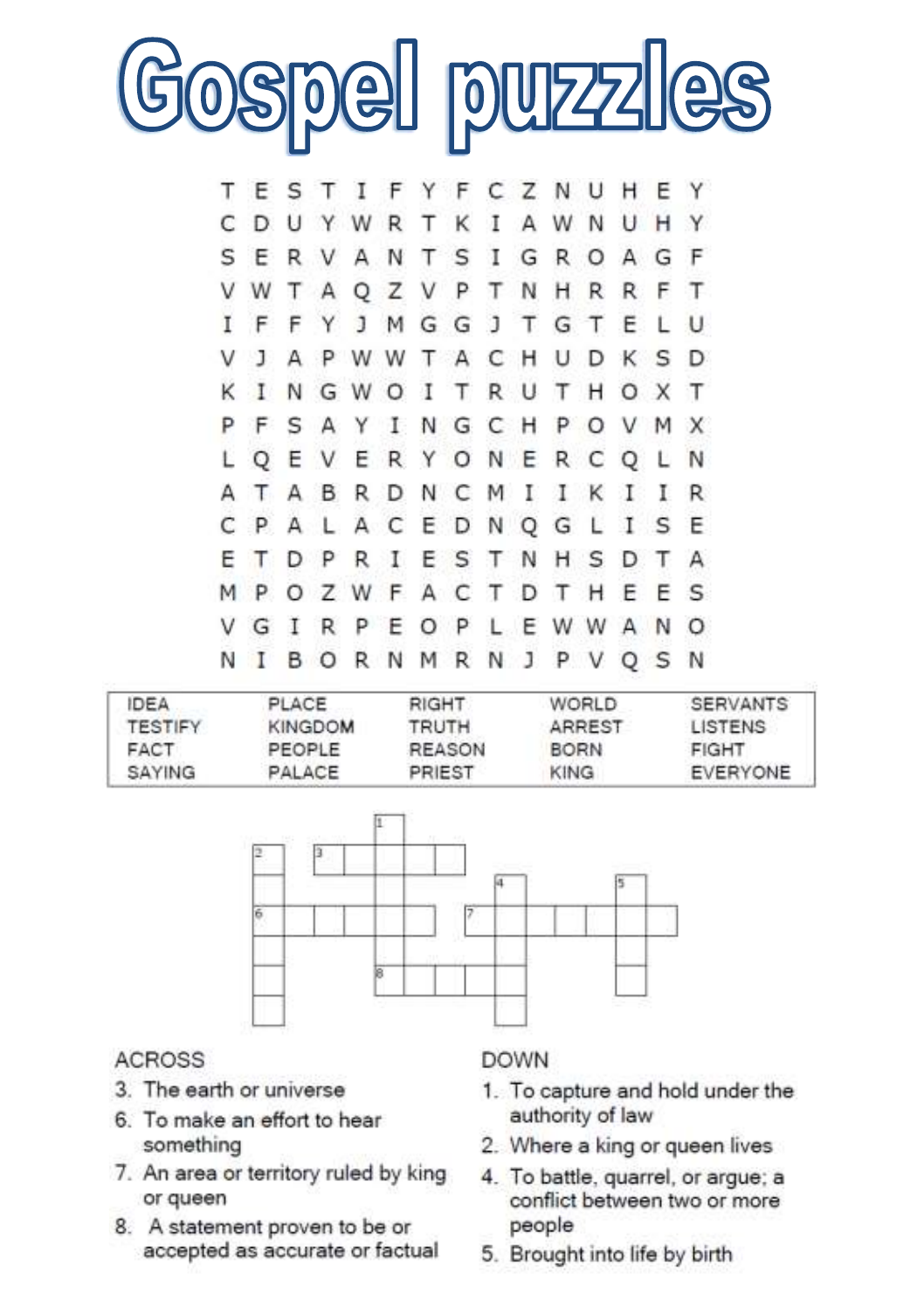

|  | T E S T I F Y F C Z N U H E Y |  |  |  |  |  |  |  |
|--|-------------------------------|--|--|--|--|--|--|--|
|  | C D U Y W R T K I A W N U H Y |  |  |  |  |  |  |  |
|  | S E R V A N T S I G R O A G F |  |  |  |  |  |  |  |
|  | V W T A Q Z V P T N H R R F T |  |  |  |  |  |  |  |
|  | I F F Y J M G G J T G T E L U |  |  |  |  |  |  |  |
|  | V J A P W W T A C H U D K S D |  |  |  |  |  |  |  |
|  | K I N G W O I T R U T H O X T |  |  |  |  |  |  |  |
|  | P F S A Y I N G C H P O V M X |  |  |  |  |  |  |  |
|  | LQEVERYONERCQLN               |  |  |  |  |  |  |  |
|  | A T A B R D N C M I I K I I R |  |  |  |  |  |  |  |
|  | C P A L A C E D N Q G L I S E |  |  |  |  |  |  |  |
|  | E T D P R I E S T N H S D T A |  |  |  |  |  |  |  |
|  | MPOZWFACTDTHEES               |  |  |  |  |  |  |  |
|  | VGIRPEOPLEWWANO               |  |  |  |  |  |  |  |
|  | NIBORNMRNJPVQSN               |  |  |  |  |  |  |  |
|  |                               |  |  |  |  |  |  |  |

| IDEA           | <b>PLACE</b>   | RIGHT        | WORLD       | SERVANTS       |
|----------------|----------------|--------------|-------------|----------------|
| <b>TESTIFY</b> | <b>KINGDOM</b> | <b>TRUTH</b> | ARREST      | <b>LISTENS</b> |
| <b>FACT</b>    | PEOPLE         | REASON       | <b>BORN</b> | FIGHT          |
| SAYING         | PALACE         | PRIEST       | KING        | EVERYONE       |



#### **ACROSS**

- 3. The earth or universe
- 6. To make an effort to hear something
- 7. An area or territory ruled by king or queen
- 8. A statement proven to be or accepted as accurate or factual

#### **DOWN**

- 1. To capture and hold under the authority of law
- 2. Where a king or queen lives
- 4. To battle, quarrel, or argue; a conflict between two or more people
- 5. Brought into life by birth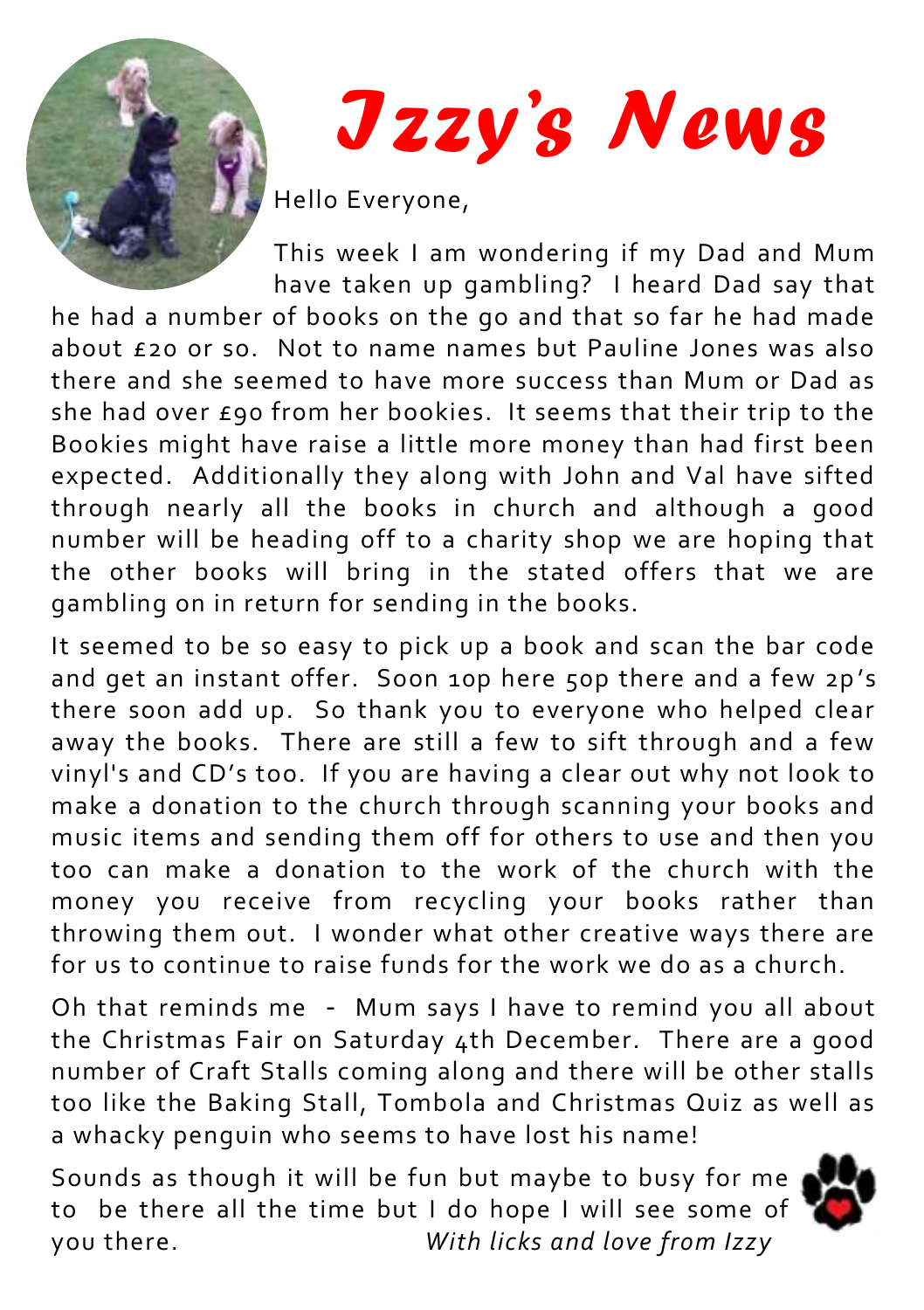

# *Izzy's News*

Hello Everyone,

This week I am wondering if my Dad and Mum have taken up gambling? I heard Dad say that

he had a number of books on the go and that so far he had made about £20 or so. Not to name names but Pauline Jones was also there and she seemed to have more success than Mum or Dad as she had over £90 from her bookies. It seems that their trip to the Bookies might have raise a little more money than had first been expected. Additionally they along with John and Val have sifted through nearly all the books in church and although a good number will be heading off to a charity shop we are hoping that the other books will bring in the stated offers that we are gambling on in return for sending in the books.

It seemed to be so easy to pick up a book and scan the bar code and get an instant offer. Soon 10p here 50p there and a few 2p's there soon add up. So thank you to everyone who helped clear away the books. There are still a few to sift through and a few vinyl's and CD's too. If you are having a clear out why not look to make a donation to the church through scanning your books and music items and sending them off for others to use and then you too can make a donation to the work of the church with the money you receive from recycling your books rather than throwing them out. I wonder what other creative ways there are for us to continue to raise funds for the work we do as a church.

Oh that reminds me - Mum says I have to remind you all about the Christmas Fair on Saturday 4th December. There are a good number of Craft Stalls coming along and there will be other stalls too like the Baking Stall, Tombola and Christmas Quiz as well as a whacky penguin who seems to have lost his name!

Sounds as though it will be fun but maybe to busy for me to be there all the time but I do hope I will see some of you there. *With licks and love from Izzy*

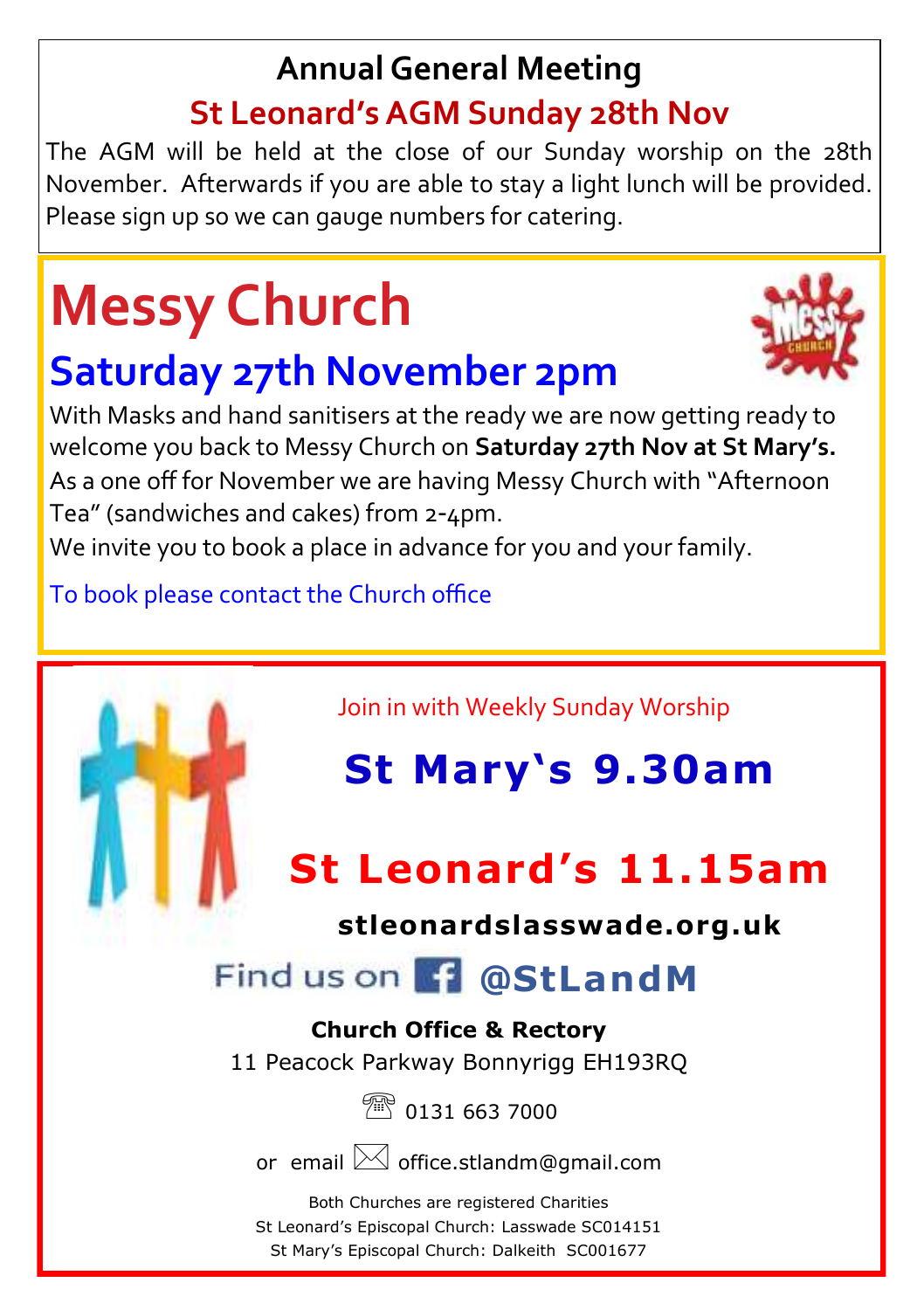### **Annual General Meeting St Leonard's AGM Sunday 28th Nov**

The AGM will be held at the close of our Sunday worship on the 28th November. Afterwards if you are able to stay a light lunch will be provided. Please sign up so we can gauge numbers for catering.

## **Messy Church**

## **Saturday 27th November 2pm**



With Masks and hand sanitisers at the ready we are now getting ready to welcome you back to Messy Church on **Saturday 27th Nov at St Mary's.**  As a one off for November we are having Messy Church with "Afternoon Tea" (sandwiches and cakes) from 2-4pm.

We invite you to book a place in advance for you and your family.

To book please contact the Church office

Join in with Weekly Sunday Worship

## **St Mary's 9.30am**

## **St Leonard's 11.15am**

**stleonardslasswade.org.uk**

## Find us on **C** @StLandM

**Church Office & Rectory** 11 Peacock Parkway Bonnyrigg EH193RQ

<sup>2</sup><sup>9</sup>0131 663 7000

or email  $\boxtimes$  office.stlandm@gmail.com

Both Churches are registered Charities St Leonard's Episcopal Church: Lasswade SC014151 St Mary's Episcopal Church: Dalkeith SC001677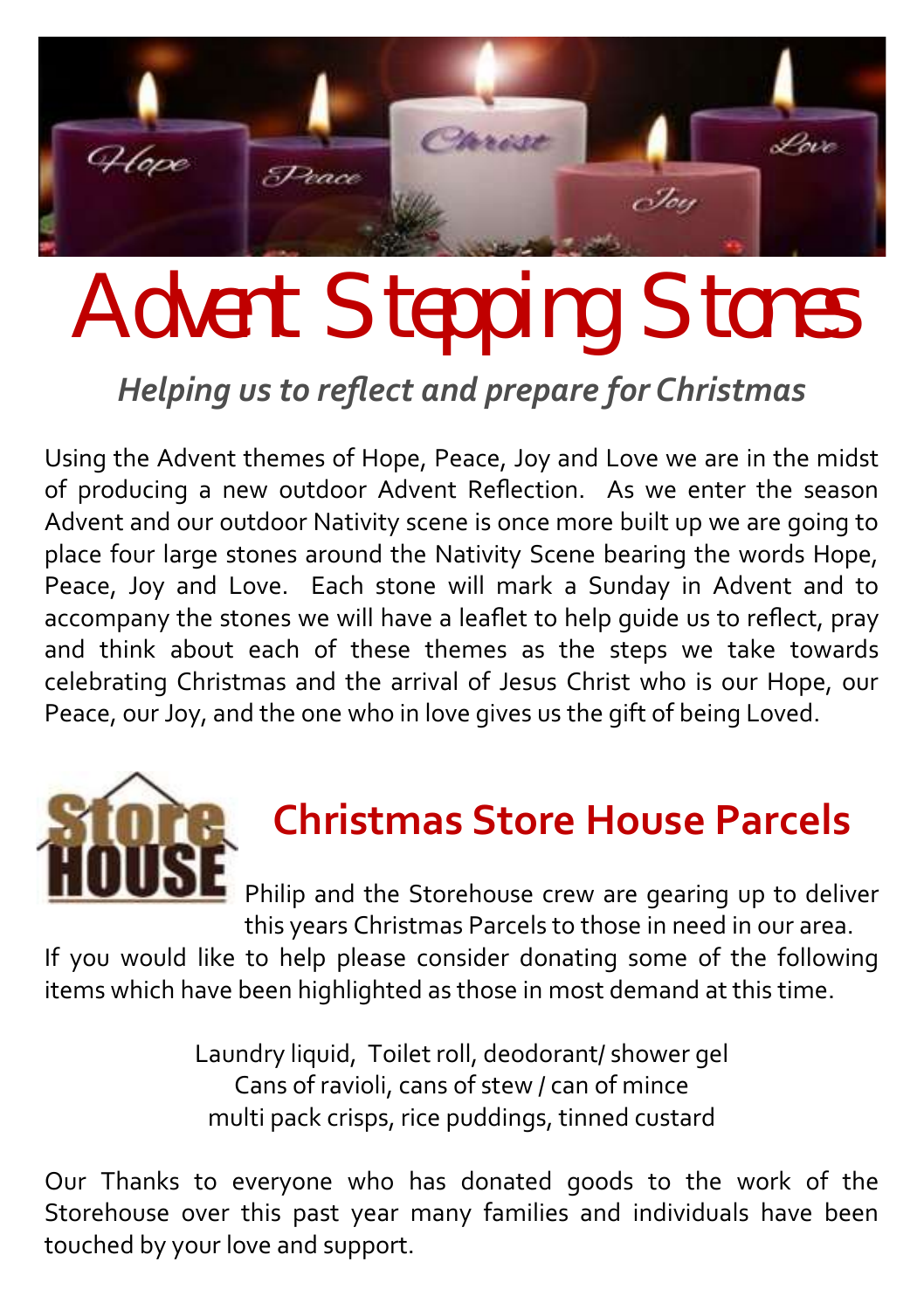

*Advent Stepping Stones*

*Helping us to reflect and prepare for Christmas*

Using the Advent themes of Hope, Peace, Joy and Love we are in the midst of producing a new outdoor Advent Reflection. As we enter the season Advent and our outdoor Nativity scene is once more built up we are going to place four large stones around the Nativity Scene bearing the words Hope, Peace, Joy and Love. Each stone will mark a Sunday in Advent and to accompany the stones we will have a leaflet to help guide us to reflect, pray and think about each of these themes as the steps we take towards celebrating Christmas and the arrival of Jesus Christ who is our Hope, our Peace, our Joy, and the one who in love gives us the gift of being Loved.



## **Christmas Store House Parcels**

Philip and the Storehouse crew are gearing up to deliver this years Christmas Parcels to those in need in our area.

If you would like to help please consider donating some of the following items which have been highlighted as those in most demand at this time.

> Laundry liquid, Toilet roll, deodorant/ shower gel Cans of ravioli, cans of stew / can of mince multi pack crisps, rice puddings, tinned custard

Our Thanks to everyone who has donated goods to the work of the Storehouse over this past year many families and individuals have been touched by your love and support.